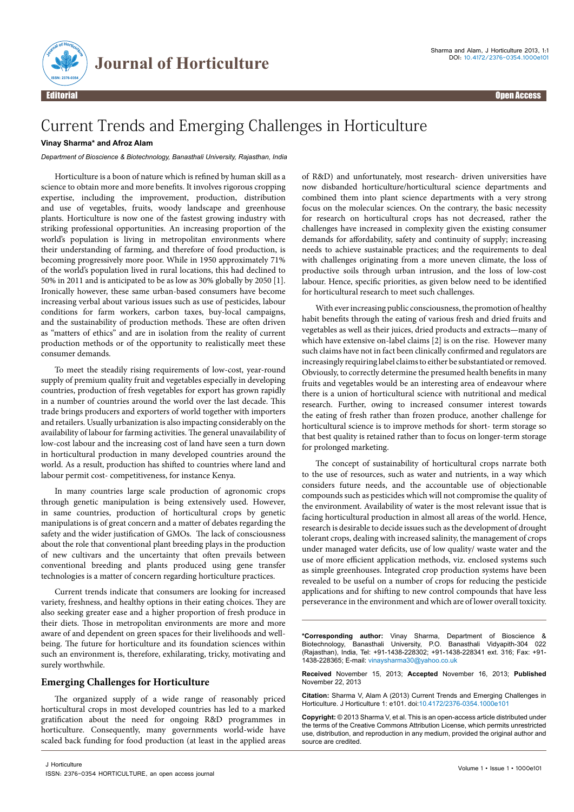

# Current Trends and Emerging Challenges in Horticulture

## **Vinay Sharma\* and Afroz Alam**

*Department of Bioscience & Biotechnology, Banasthali University, Rajasthan, India*

Horticulture is a boon of nature which is refined by human skill as a science to obtain more and more benefits. It involves rigorous cropping expertise, including the improvement, production, distribution and use of vegetables, fruits, woody landscape and greenhouse plants. Horticulture is now one of the fastest growing industry with striking professional opportunities. An increasing proportion of the world's population is living in metropolitan environments where their understanding of farming, and therefore of food production, is becoming progressively more poor. While in 1950 approximately 71% of the world's population lived in rural locations, this had declined to 50% in 2011 and is anticipated to be as low as 30% globally by 2050 [1]. Ironically however, these same urban-based consumers have become increasing verbal about various issues such as use of pesticides, labour conditions for farm workers, carbon taxes, buy-local campaigns, and the sustainability of production methods. These are often driven as "matters of ethics" and are in isolation from the reality of current production methods or of the opportunity to realistically meet these consumer demands.

To meet the steadily rising requirements of low-cost, year-round supply of premium quality fruit and vegetables especially in developing countries, production of fresh vegetables for export has grown rapidly in a number of countries around the world over the last decade. This trade brings producers and exporters of world together with importers and retailers. Usually urbanization is also impacting considerably on the availability of labour for farming activities. The general unavailability of low-cost labour and the increasing cost of land have seen a turn down in horticultural production in many developed countries around the world. As a result, production has shifted to countries where land and labour permit cost- competitiveness, for instance Kenya.

In many countries large scale production of agronomic crops through genetic manipulation is being extensively used. However, in same countries, production of horticultural crops by genetic manipulations is of great concern and a matter of debates regarding the safety and the wider justification of GMOs. The lack of consciousness about the role that conventional plant breeding plays in the production of new cultivars and the uncertainty that often prevails between conventional breeding and plants produced using gene transfer technologies is a matter of concern regarding horticulture practices.

Current trends indicate that consumers are looking for increased variety, freshness, and healthy options in their eating choices. They are also seeking greater ease and a higher proportion of fresh produce in their diets. Those in metropolitan environments are more and more aware of and dependent on green spaces for their livelihoods and wellbeing. The future for horticulture and its foundation sciences within such an environment is, therefore, exhilarating, tricky, motivating and surely worthwhile.

## **Emerging Challenges for Horticulture**

The organized supply of a wide range of reasonably priced horticultural crops in most developed countries has led to a marked gratification about the need for ongoing R&D programmes in horticulture. Consequently, many governments world-wide have scaled back funding for food production (at least in the applied areas of R&D) and unfortunately, most research- driven universities have now disbanded horticulture/horticultural science departments and combined them into plant science departments with a very strong focus on the molecular sciences. On the contrary, the basic necessity for research on horticultural crops has not decreased, rather the challenges have increased in complexity given the existing consumer demands for affordability, safety and continuity of supply; increasing needs to achieve sustainable practices; and the requirements to deal with challenges originating from a more uneven climate, the loss of productive soils through urban intrusion, and the loss of low-cost labour. Hence, specific priorities, as given below need to be identified for horticultural research to meet such challenges.

With ever increasing public consciousness, the promotion of healthy habit benefits through the eating of various fresh and dried fruits and vegetables as well as their juices, dried products and extracts—many of which have extensive on-label claims [2] is on the rise. However many such claims have not in fact been clinically confirmed and regulators are increasingly requiring label claims to either be substantiated or removed. Obviously, to correctly determine the presumed health benefits in many fruits and vegetables would be an interesting area of endeavour where there is a union of horticultural science with nutritional and medical research. Further, owing to increased consumer interest towards the eating of fresh rather than frozen produce, another challenge for horticultural science is to improve methods for short- term storage so that best quality is retained rather than to focus on longer-term storage for prolonged marketing.

The concept of sustainability of horticultural crops narrate both to the use of resources, such as water and nutrients, in a way which considers future needs, and the accountable use of objectionable compounds such as pesticides which will not compromise the quality of the environment. Availability of water is the most relevant issue that is facing horticultural production in almost all areas of the world. Hence, research is desirable to decide issues such as the development of drought tolerant crops, dealing with increased salinity, the management of crops under managed water deficits, use of low quality/ waste water and the use of more efficient application methods, viz. enclosed systems such as simple greenhouses. Integrated crop production systems have been revealed to be useful on a number of crops for reducing the pesticide applications and for shifting to new control compounds that have less perseverance in the environment and which are of lower overall toxicity.

**\*Corresponding author:** Vinay Sharma, Department of Bioscience & Biotechnology, Banasthali University, P.O. (Rajasthan), India, Tel: +91-1438-228302; +91-1438-228341 ext. 316; Fax: +91- 1438-228365; E-mail: vinaysharma30@yahoo.co.uk

**Received** November 15, 2013; **Accepted** November 16, 2013; **Published** November 22, 2013

**Citation:** Sharma V, Alam A (2013) Current Trends and Emerging Challenges in Horticulture. J Horticulture 1: e101. doi:10.4172/2376-0354.1000e101

**Copyright:** © 2013 Sharma V, et al. This is an open-access article distributed under the terms of the Creative Commons Attribution License, which permits unrestricted use, distribution, and reproduction in any medium, provided the original author and source are credited.